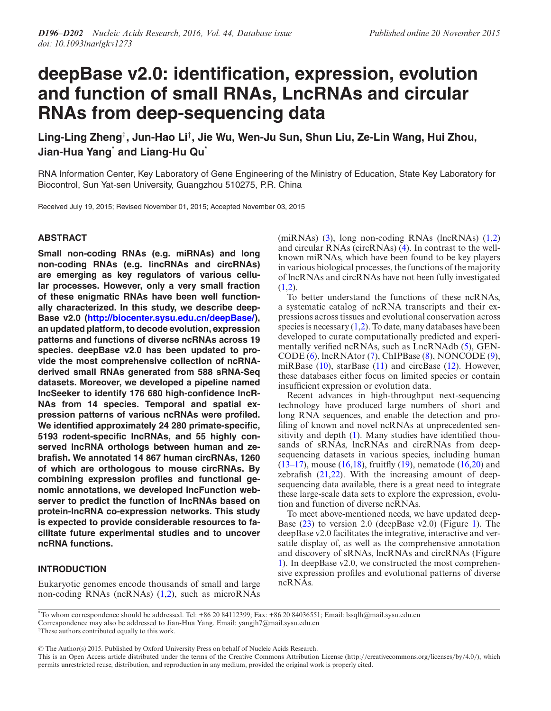# **deepBase v2.0: identification, expression, evolution and function of small RNAs, LncRNAs and circular RNAs from deep-sequencing data**

**Ling-Ling Zheng***†***, Jun-Hao Li***†***, Jie Wu, Wen-Ju Sun, Shun Liu, Ze-Lin Wang, Hui Zhou, Jian-Hua Yang\* and Liang-Hu Qu\***

RNA Information Center, Key Laboratory of Gene Engineering of the Ministry of Education, State Key Laboratory for Biocontrol, Sun Yat-sen University, Guangzhou 510275, P.R. China

Received July 19, 2015; Revised November 01, 2015; Accepted November 03, 2015

# **ABSTRACT**

**Small non-coding RNAs (e.g. miRNAs) and long non-coding RNAs (e.g. lincRNAs and circRNAs) are emerging as key regulators of various cellular processes. However, only a very small fraction of these enigmatic RNAs have been well functionally characterized. In this study, we describe deep-Base v2.0 [\(http://biocenter.sysu.edu.cn/deepBase/\)](http://biocenter.sysu.edu.cn/deepBase/), an updated platform, to decode evolution, expression patterns and functions of diverse ncRNAs across 19 species. deepBase v2.0 has been updated to provide the most comprehensive collection of ncRNAderived small RNAs generated from 588 sRNA-Seq datasets. Moreover, we developed a pipeline named lncSeeker to identify 176 680 high-confidence lncR-NAs from 14 species. Temporal and spatial expression patterns of various ncRNAs were profiled. We identified approximately 24 280 primate-specific, 5193 rodent-specific lncRNAs, and 55 highly conserved lncRNA orthologs between human and zebrafish. We annotated 14 867 human circRNAs, 1260 of which are orthologous to mouse circRNAs. By combining expression profiles and functional genomic annotations, we developed lncFunction webserver to predict the function of lncRNAs based on protein-lncRNA co-expression networks. This study is expected to provide considerable resources to facilitate future experimental studies and to uncover ncRNA functions.**

# **INTRODUCTION**

Eukaryotic genomes encode thousands of small and large non-coding RNAs (ncRNAs) [\(1,2\)](#page-5-0), such as microRNAs (miRNAs) [\(3\)](#page-5-0), long non-coding RNAs (lncRNAs) [\(1,2\)](#page-5-0) and circular RNAs (circRNAs) [\(4\)](#page-5-0). In contrast to the wellknown miRNAs, which have been found to be key players in various biological processes, the functions of the majority of lncRNAs and circRNAs have not been fully investigated  $(1,2)$ .

To better understand the functions of these ncRNAs, a systematic catalog of ncRNA transcripts and their expressions across tissues and evolutional conservation across species is necessary  $(1,2)$ . To date, many databases have been developed to curate computationally predicted and experimentally verified ncRNAs, such as LncRNAdb [\(5\)](#page-5-0), GEN-CODE [\(6\)](#page-5-0), lncRNAtor [\(7\)](#page-5-0), ChIPBase [\(8\)](#page-5-0), NONCODE [\(9\)](#page-5-0), miRBase [\(10\)](#page-5-0), starBase [\(11\)](#page-5-0) and circBase [\(12\)](#page-5-0). However, these databases either focus on limited species or contain insufficient expression or evolution data.

Recent advances in high-throughput next-sequencing technology have produced large numbers of short and long RNA sequences, and enable the detection and profiling of known and novel ncRNAs at unprecedented sensitivity and depth [\(1\)](#page-5-0). Many studies have identified thousands of sRNAs, lncRNAs and circRNAs from deepsequencing datasets in various species, including human [\(13–17\)](#page-5-0), mouse [\(16,18\)](#page-5-0), fruitfly [\(19\)](#page-5-0), nematode [\(16,20\)](#page-5-0) and zebrafish [\(21,22\)](#page-5-0). With the increasing amount of deepsequencing data available, there is a great need to integrate these large-scale data sets to explore the expression, evolution and function of diverse ncRNAs.

To meet above-mentioned needs, we have updated deep-Base  $(23)$  to version 2.0 (deepBase v2.0) (Figure [1\)](#page-1-0). The deepBase v2.0 facilitates the integrative, interactive and versatile display of, as well as the comprehensive annotation and discovery of sRNAs, lncRNAs and circRNAs (Figure [1\)](#page-1-0). In deepBase v2.0, we constructed the most comprehensive expression profiles and evolutional patterns of diverse ncRNAs.

\*To whom correspondence should be addressed. Tel: +86 20 84112399; Fax: +86 20 84036551; Email: lssqlh@mail.sysu.edu.cn Correspondence may also be addressed to Jian-Hua Yang. Email: yangjh7@mail.sysu.edu.cn

†These authors contributed equally to this work.

-<sup>C</sup> The Author(s) 2015. Published by Oxford University Press on behalf of Nucleic Acids Research.

This is an Open Access article distributed under the terms of the Creative Commons Attribution License (http://creativecommons.org/licenses/by/4.0/), which permits unrestricted reuse, distribution, and reproduction in any medium, provided the original work is properly cited.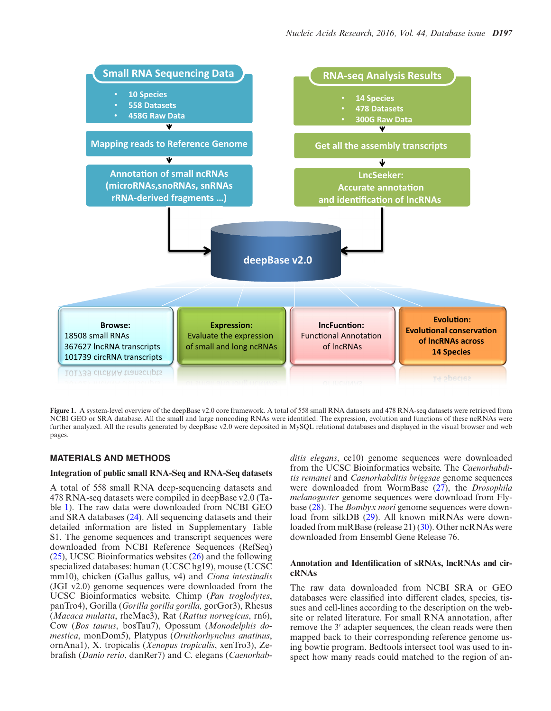<span id="page-1-0"></span>

**Figure 1.** A system-level overview of the deepBase v2.0 core framework. A total of 558 small RNA datasets and 478 RNA-seq datasets were retrieved from NCBI GEO or SRA database. All the small and large noncoding RNAs were identified. The expression, evolution and functions of these ncRNAs were further analyzed. All the results generated by deepBase v2.0 were deposited in MySQL relational databases and displayed in the visual browser and web pages.

# **MATERIALS AND METHODS**

## **Integration of public small RNA-Seq and RNA-Seq datasets**

A total of 558 small RNA deep-sequencing datasets and 478 RNA-seq datasets were compiled in deepBase v2.0 (Table [1\)](#page-2-0). The raw data were downloaded from NCBI GEO and SRA databases [\(24\)](#page-5-0). All sequencing datasets and their detailed information are listed in Supplementary Table S1. The genome sequences and transcript sequences were downloaded from NCBI Reference Sequences (RefSeq) [\(25\)](#page-5-0), UCSC Bioinformatics websites [\(26\)](#page-5-0) and the following specialized databases: human (UCSC hg19), mouse (UCSC mm10), chicken (Gallus gallus, v4) and *Ciona intestinalis* (JGI v2.0) genome sequences were downloaded from the UCSC Bioinformatics website. Chimp (*Pan troglodytes*, panTro4), Gorilla (*Gorilla gorilla gorilla,* gorGor3), Rhesus (*Macaca mulatta*, rheMac3), Rat (*Rattus norvegicus*, rn6), Cow (*Bos taurus*, bosTau7), Opossum (*Monodelphis domestica*, monDom5), Platypus (*Ornithorhynchus anatinus*, ornAna1), X. tropicalis (*Xenopus tropicalis*, xenTro3), Zebrafish (*Danio rerio*, danRer7) and C. elegans (*Caenorhab-* *ditis elegans*, ce10) genome sequences were downloaded from the UCSC Bioinformatics website. The *Caenorhabditis remanei* and *Caenorhabditis briggsae* genome sequences were downloaded from WormBase [\(27\)](#page-5-0), the *Drosophila melanogaster* genome sequences were download from Flybase [\(28\)](#page-5-0). The *Bombyx mori* genome sequences were download from silkDB [\(29\)](#page-5-0). All known miRNAs were down-loaded from miRBase (release 21) [\(30\)](#page-5-0). Other ncRNAs were downloaded from Ensembl Gene Release 76.

## **Annotation and Identification of sRNAs, lncRNAs and circRNAs**

The raw data downloaded from NCBI SRA or GEO databases were classified into different clades, species, tissues and cell-lines according to the description on the website or related literature. For small RNA annotation, after remove the 3' adapter sequences, the clean reads were then mapped back to their corresponding reference genome using bowtie program. Bedtools intersect tool was used to inspect how many reads could matched to the region of an-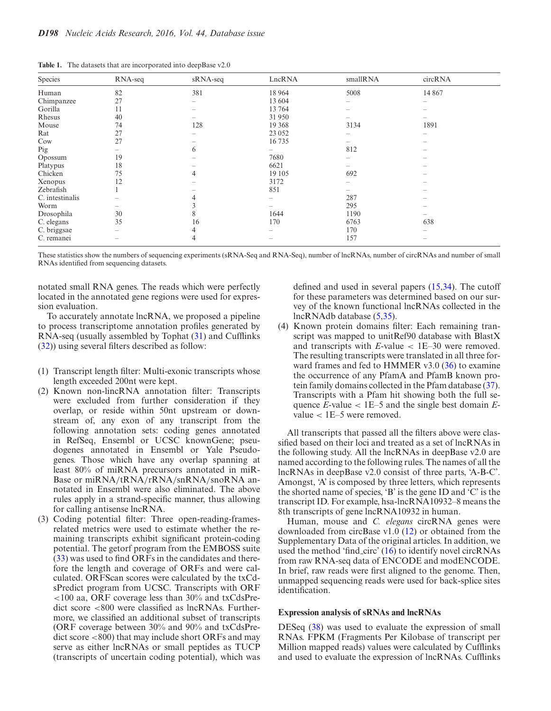<span id="page-2-0"></span>**Table 1.** The datasets that are incorporated into deepBase v2.0

| Species         | RNA-seq | sRNA-seq                              | LncRNA  | smallRNA          | circRNA |  |
|-----------------|---------|---------------------------------------|---------|-------------------|---------|--|
| Human           | 82      | 381                                   | 18 9 64 | 5008              | 14 8 67 |  |
| Chimpanzee      | 27      |                                       | 13 604  |                   |         |  |
| Gorilla         | 11      |                                       | 13 764  |                   |         |  |
| Rhesus          | 40      |                                       | 31950   |                   |         |  |
| Mouse           | 74      | 128                                   | 19 3 68 | 3134              | 1891    |  |
| Rat             | 27      |                                       | 23 0 52 |                   |         |  |
| Cow             | 27      |                                       | 16735   |                   |         |  |
| Pig             |         | 6                                     |         | 812               |         |  |
| Opossum         | 19      | $\overline{\phantom{a}}$              | 7680    |                   |         |  |
| Platypus        | 18      |                                       | 6621    | $\qquad \qquad$   |         |  |
| Chicken         | 75      | 4                                     | 19 10 5 | 692               |         |  |
| Xenopus         | 12      | $\hspace{1.0cm} \rule{1.5cm}{0.15cm}$ | 3172    | $\qquad \qquad -$ |         |  |
| Zebrafish       |         |                                       | 851     |                   |         |  |
| C. intestinalis |         |                                       |         | 287               |         |  |
| Worm            |         |                                       |         | 295               |         |  |
| Drosophila      | 30      |                                       | 1644    | 1190              |         |  |
| C. elegans      | 35      | 16                                    | 170     | 6763              | 638     |  |
| C. briggsae     |         |                                       |         | 170               |         |  |
| C. remanei      |         | 4                                     |         | 157               |         |  |

These statistics show the numbers of sequencing experiments (sRNA-Seq and RNA-Seq), number of lncRNAs, number of circRNAs and number of small RNAs identified from sequencing datasets.

notated small RNA genes. The reads which were perfectly located in the annotated gene regions were used for expression evaluation.

To accurately annotate lncRNA, we proposed a pipeline to process transcriptome annotation profiles generated by RNA-seq (usually assembled by Tophat [\(31\)](#page-5-0) and Cufflinks [\(32\)](#page-5-0)) using several filters described as follow:

- (1) Transcript length filter: Multi-exonic transcripts whose length exceeded 200nt were kept.
- (2) Known non-lincRNA annotation filter: Transcripts were excluded from further consideration if they overlap, or reside within 50nt upstream or downstream of, any exon of any transcript from the following annotation sets: coding genes annotated in RefSeq, Ensembl or UCSC knownGene; pseudogenes annotated in Ensembl or Yale Pseudogenes. Those which have any overlap spanning at least 80% of miRNA precursors annotated in miR-Base or miRNA/tRNA/rRNA/snRNA/snoRNA annotated in Ensembl were also eliminated. The above rules apply in a strand-specific manner, thus allowing for calling antisense lncRNA.
- (3) Coding potential filter: Three open-reading-framesrelated metrics were used to estimate whether the remaining transcripts exhibit significant protein-coding potential. The getorf program from the EMBOSS suite [\(33\)](#page-5-0) was used to find ORFs in the candidates and therefore the length and coverage of ORFs and were calculated. ORFScan scores were calculated by the txCdsPredict program from UCSC. Transcripts with ORF <100 aa, ORF coverage less than 30% and txCdsPredict score <800 were classified as lncRNAs. Furthermore, we classified an additional subset of transcripts (ORF coverage between 30% and 90% and txCdsPredict score <800) that may include short ORFs and may serve as either lncRNAs or small peptides as TUCP (transcripts of uncertain coding potential), which was

defined and used in several papers [\(15,34\)](#page-5-0). The cutoff for these parameters was determined based on our survey of the known functional lncRNAs collected in the lncRNAdb database [\(5,35\)](#page-5-0).

(4) Known protein domains filter: Each remaining transcript was mapped to unitRef90 database with BlastX and transcripts with  $E$ -value  $\lt$  1E–30 were removed. The resulting transcripts were translated in all three for-ward frames and fed to HMMER v3.0 [\(36\)](#page-5-0) to examine the occurrence of any PfamA and PfamB known protein family domains collected in the Pfam database [\(37\)](#page-5-0). Transcripts with a Pfam hit showing both the full sequence  $E$ -value  $\lt$  1E–5 and the single best domain  $E$ value < 1E–5 were removed.

All transcripts that passed all the filters above were classified based on their loci and treated as a set of lncRNAs in the following study. All the lncRNAs in deepBase v2.0 are named according to the following rules. The names of all the lncRNAs in deepBase v2.0 consist of three parts, 'A-B-C'. Amongst, 'A' is composed by three letters, which represents the shorted name of species, 'B' is the gene ID and 'C' is the transcript ID. For example, hsa-lncRNA10932–8 means the 8th transcripts of gene lncRNA10932 in human.

Human, mouse and *C. elegans* circRNA genes were downloaded from circBase v1.0 [\(12\)](#page-5-0) or obtained from the Supplementary Data of the original articles. In addition, we used the method 'find circ'  $(16)$  to identify novel circRNAs from raw RNA-seq data of ENCODE and modENCODE. In brief, raw reads were first aligned to the genome. Then, unmapped sequencing reads were used for back-splice sites identification.

#### **Expression analysis of sRNAs and lncRNAs**

DESeq [\(38\)](#page-5-0) was used to evaluate the expression of small RNAs. FPKM (Fragments Per Kilobase of transcript per Million mapped reads) values were calculated by Cufflinks and used to evaluate the expression of lncRNAs. Cufflinks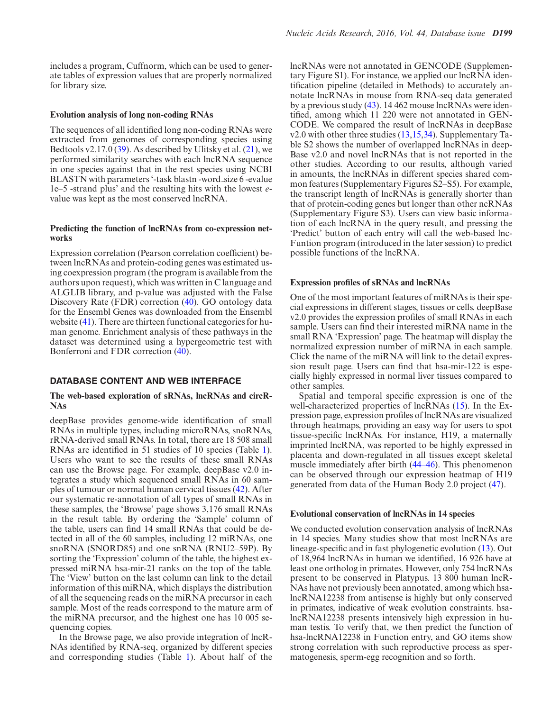includes a program, Cuffnorm, which can be used to generate tables of expression values that are properly normalized for library size.

#### **Evolution analysis of long non-coding RNAs**

The sequences of all identified long non-coding RNAs were extracted from genomes of corresponding species using Bedtools  $v2.17.0$  [\(39\)](#page-5-0). As described by Ulitsky et al. [\(21\)](#page-5-0), we performed similarity searches with each lncRNA sequence in one species against that in the rest species using NCBI BLASTN with parameters '-task blastn -word size 6 -evalue 1e–5 -strand plus' and the resulting hits with the lowest *e*value was kept as the most conserved lncRNA.

## **Predicting the function of lncRNAs from co-expression networks**

Expression correlation (Pearson correlation coefficient) between lncRNAs and protein-coding genes was estimated using coexpression program (the program is available from the authors upon request), which was written in C language and ALGLIB library, and p-value was adjusted with the False Discovery Rate (FDR) correction [\(40\)](#page-5-0). GO ontology data for the Ensembl Genes was downloaded from the Ensembl website [\(41\)](#page-5-0). There are thirteen functional categories for human genome. Enrichment analysis of these pathways in the dataset was determined using a hypergeometric test with Bonferroni and FDR correction [\(40\)](#page-5-0).

## **DATABASE CONTENT AND WEB INTERFACE**

## **The web-based exploration of sRNAs, lncRNAs and circR-NAs**

deepBase provides genome-wide identification of small RNAs in multiple types, including microRNAs, snoRNAs, rRNA-derived small RNAs. In total, there are 18 508 small RNAs are identified in 51 studies of 10 species (Table [1\)](#page-2-0). Users who want to see the results of these small RNAs can use the Browse page. For example, deepBase v2.0 integrates a study which sequenced small RNAs in 60 samples of tumour or normal human cervical tissues [\(42\)](#page-5-0). After our systematic re-annotation of all types of small RNAs in these samples, the 'Browse' page shows 3,176 small RNAs in the result table. By ordering the 'Sample' column of the table, users can find 14 small RNAs that could be detected in all of the 60 samples, including 12 miRNAs, one snoRNA (SNORD85) and one snRNA (RNU2–59P). By sorting the 'Expression' column of the table, the highest expressed miRNA hsa-mir-21 ranks on the top of the table. The 'View' button on the last column can link to the detail information of this miRNA, which displays the distribution of all the sequencing reads on the miRNA precursor in each sample. Most of the reads correspond to the mature arm of the miRNA precursor, and the highest one has 10 005 sequencing copies.

In the Browse page, we also provide integration of lncR-NAs identified by RNA-seq, organized by different species and corresponding studies (Table [1\)](#page-2-0). About half of the lncRNAs were not annotated in GENCODE (Supplementary Figure S1). For instance, we applied our lncRNA identification pipeline (detailed in Methods) to accurately annotate lncRNAs in mouse from RNA-seq data generated by a previous study [\(43\)](#page-6-0). 14 462 mouse lncRNAs were identified, among which 11 220 were not annotated in GEN-CODE. We compared the result of lncRNAs in deepBase v2.0 with other three studies [\(13,15,34\)](#page-5-0). Supplementary Table S2 shows the number of overlapped lncRNAs in deep-Base v2.0 and novel lncRNAs that is not reported in the other studies. According to our results, although varied in amounts, the lncRNAs in different species shared common features (Supplementary Figures S2–S5). For example, the transcript length of lncRNAs is generally shorter than that of protein-coding genes but longer than other ncRNAs (Supplementary Figure S3). Users can view basic information of each lncRNA in the query result, and pressing the 'Predict' button of each entry will call the web-based lnc-Funtion program (introduced in the later session) to predict possible functions of the lncRNA.

#### **Expression profiles of sRNAs and lncRNAs**

One of the most important features of miRNAs is their special expressions in different stages, tissues or cells. deepBase v2.0 provides the expression profiles of small RNAs in each sample. Users can find their interested miRNA name in the small RNA 'Expression' page. The heatmap will display the normalized expression number of miRNA in each sample. Click the name of the miRNA will link to the detail expression result page. Users can find that hsa-mir-122 is especially highly expressed in normal liver tissues compared to other samples.

Spatial and temporal specific expression is one of the well-characterized properties of lncRNAs [\(15\)](#page-5-0). In the Expression page, expression profiles of lncRNAs are visualized through heatmaps, providing an easy way for users to spot tissue-specific lncRNAs. For instance, H19, a maternally imprinted lncRNA, was reported to be highly expressed in placenta and down-regulated in all tissues except skeletal muscle immediately after birth [\(44–46\)](#page-6-0). This phenomenon can be observed through our expression heatmap of H19 generated from data of the Human Body 2.0 project [\(47\)](#page-6-0).

## **Evolutional conservation of lncRNAs in 14 species**

We conducted evolution conservation analysis of lncRNAs in 14 species. Many studies show that most lncRNAs are lineage-specific and in fast phylogenetic evolution [\(13\)](#page-5-0). Out of 18,964 lncRNAs in human we identified, 16 926 have at least one ortholog in primates. However, only 754 lncRNAs present to be conserved in Platypus. 13 800 human lncR-NAs have not previously been annotated, among which hsalncRNA12238 from antisense is highly but only conserved in primates, indicative of weak evolution constraints. hsalncRNA12238 presents intensively high expression in human testis. To verify that, we then predict the function of hsa-lncRNA12238 in Function entry, and GO items show strong correlation with such reproductive process as spermatogenesis, sperm-egg recognition and so forth.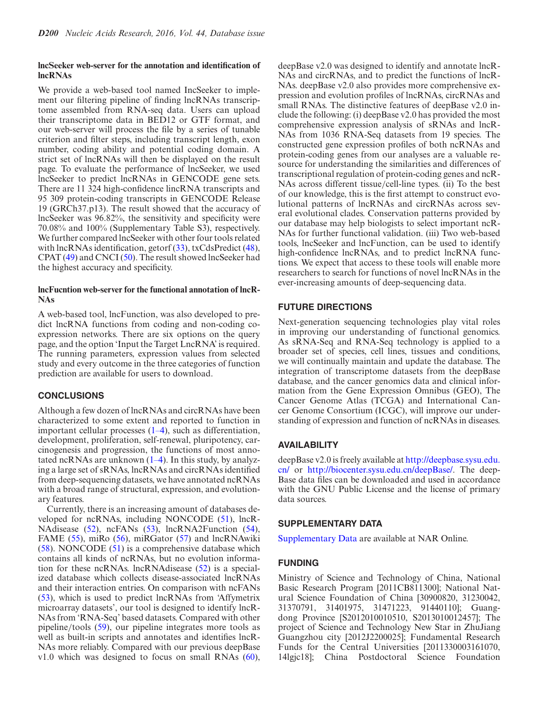## **lncSeeker web-server for the annotation and identification of lncRNAs**

We provide a web-based tool named IncSeeker to implement our filtering pipeline of finding lncRNAs transcriptome assembled from RNA-seq data. Users can upload their transcriptome data in BED12 or GTF format, and our web-server will process the file by a series of tunable criterion and filter steps, including transcript length, exon number, coding ability and potential coding domain. A strict set of lncRNAs will then be displayed on the result page. To evaluate the performance of lncSeeker, we used lncSeeker to predict lncRNAs in GENCODE gene sets. There are 11 324 high-confidence lincRNA transcripts and 95 309 protein-coding transcripts in GENCODE Release 19 (GRCh37.p13). The result showed that the accuracy of lncSeeker was 96.82%, the sensitivity and specificity were 70.08% and 100% (Supplementary Table S3), respectively. We further compared lncSeeker with other four tools related with lncRNAs identification, getorf [\(33\)](#page-5-0), txCdsPredict [\(48\)](#page-6-0), CPAT [\(49\)](#page-6-0) and CNCI [\(50\)](#page-6-0). The result showed lncSeeker had the highest accuracy and specificity.

## **lncFucntion web-server for the functional annotation of lncR-NAs**

A web-based tool, lncFunction, was also developed to predict lncRNA functions from coding and non-coding coexpression networks. There are six options on the query page, and the option 'Input the Target LncRNA' is required. The running parameters, expression values from selected study and every outcome in the three categories of function prediction are available for users to download.

# **CONCLUSIONS**

Although a few dozen of lncRNAs and circRNAs have been characterized to some extent and reported to function in important cellular processes [\(1–4\)](#page-5-0), such as differentiation, development, proliferation, self-renewal, pluripotency, carcinogenesis and progression, the functions of most annotated ncRNAs are unknown  $(1-4)$ . In this study, by analyzing a large set of sRNAs, lncRNAs and circRNAs identified from deep-sequencing datasets, we have annotated ncRNAs with a broad range of structural, expression, and evolutionary features.

Currently, there is an increasing amount of databases developed for ncRNAs, including NONCODE [\(51\)](#page-6-0), lncR-NAdisease [\(52\)](#page-6-0), ncFANs [\(53\)](#page-6-0), lncRNA2Function [\(54\)](#page-6-0), FAME [\(55\)](#page-6-0), miRo [\(56\)](#page-6-0), miRGator [\(57\)](#page-6-0) and lncRNAwiki  $(58)$ . NONCODE  $(51)$  is a comprehensive database which contains all kinds of ncRNAs, but no evolution information for these ncRNAs. lncRNAdisease [\(52\)](#page-6-0) is a specialized database which collects disease-associated lncRNAs and their interaction entries. On comparison with ncFANs [\(53\)](#page-6-0), which is used to predict lncRNAs from 'Affymetrix microarray datasets', our tool is designed to identify lncR-NAs from 'RNA-Seq' based datasets. Compared with other pipeline/tools [\(59\)](#page-6-0), our pipeline integrates more tools as well as built-in scripts and annotates and identifies lncR-NAs more reliably. Compared with our previous deepBase v1.0 which was designed to focus on small RNAs [\(60\)](#page-6-0),

deepBase v2.0 was designed to identify and annotate lncR-NAs and circRNAs, and to predict the functions of lncR-NAs. deepBase v2.0 also provides more comprehensive expression and evolution profiles of lncRNAs, circRNAs and small RNAs. The distinctive features of deepBase v2.0 include the following: (i) deepBase v2.0 has provided the most comprehensive expression analysis of sRNAs and lncR-NAs from 1036 RNA-Seq datasets from 19 species. The constructed gene expression profiles of both ncRNAs and protein-coding genes from our analyses are a valuable resource for understanding the similarities and differences of transcriptional regulation of protein-coding genes and ncR-NAs across different tissue/cell-line types. (ii) To the best of our knowledge, this is the first attempt to construct evolutional patterns of lncRNAs and circRNAs across several evolutional clades. Conservation patterns provided by our database may help biologists to select important ncR-NAs for further functional validation. (iii) Two web-based tools, lncSeeker and lncFunction, can be used to identify high-confidence lncRNAs, and to predict lncRNA functions. We expect that access to these tools will enable more researchers to search for functions of novel lncRNAs in the ever-increasing amounts of deep-sequencing data.

# **FUTURE DIRECTIONS**

Next-generation sequencing technologies play vital roles in improving our understanding of functional genomics. As sRNA-Seq and RNA-Seq technology is applied to a broader set of species, cell lines, tissues and conditions, we will continually maintain and update the database. The integration of transcriptome datasets from the deepBase database, and the cancer genomics data and clinical information from the Gene Expression Omnibus (GEO), The Cancer Genome Atlas (TCGA) and International Cancer Genome Consortium (ICGC), will improve our understanding of expression and function of ncRNAs in diseases.

# **AVAILABILITY**

deepBase v2.0 is freely available at http://deepbase.sysu.edu. cn/ or [http://biocenter.sysu.edu.cn/deepBase/. The deep-](http://deepbase.sysu.edu.cn/)Base data files can be downloaded and used in accordance with the GNU Public License and the license of primary data sources.

## **SUPPLEMENTARY DATA**

[Supplementary Data](http://nar.oxfordjournals.org/lookup/suppl/doi:10.1093/nar/gkv1273/-/DC1) are available at NAR Online.

# **FUNDING**

Ministry of Science and Technology of China, National Basic Research Program [2011CB811300]; National Natural Science Foundation of China [30900820, 31230042, 31370791, 31401975, 31471223, 91440110]; Guangdong Province [S2012010010510, S2013010012457]; The project of Science and Technology New Star in ZhuJiang Guangzhou city [2012J2200025]; Fundamental Research Funds for the Central Universities [2011330003161070, 14lgjc18]; China Postdoctoral Science Foundation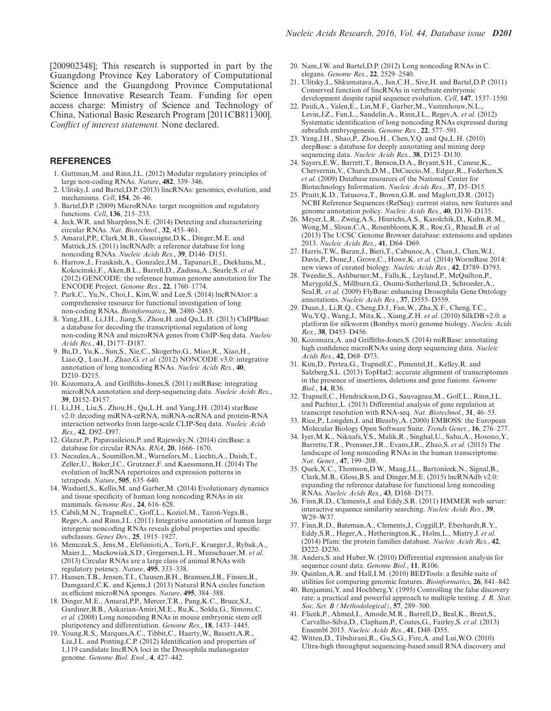<span id="page-5-0"></span>[200902348]; This research is supported in part by the Guangdong Province Key Laboratory of Computational Science and the Guangdong Province Computational Science Innovative Research Team. Funding for open access charge: Ministry of Science and Technology of China, National Basic Research Program [2011CB811300]. *Conflict of interest statement.* None declared.

## **REFERENCES**

- 1. Guttman,M. and Rinn,J.L. (2012) Modular regulatory principles of large non-coding RNAs. *Nature*, **482**, 339–346.
- 2. Ulitsky,I. and Bartel,D.P. (2013) lincRNAs: genomics, evolution, and mechanisms. *Cell*, **154**, 26–46.
- 3. Bartel,D.P. (2009) MicroRNAs: target recognition and regulatory functions. *Cell*, **136**, 215–233.
- 4. Jeck,W.R. and Sharpless,N.E. (2014) Detecting and characterizing circular RNAs. *Nat. Biotechnol.*, **32**, 453–461.
- 5. Amaral,P.P., Clark,M.B., Gascoigne,D.K., Dinger,M.E. and Mattick,J.S. (2011) lncRNAdb: a reference database for long noncoding RNAs. *Nucleic Acids Res.*, **39**, D146–D151.
- 6. Harrow,J., Frankish,A., Gonzalez,J.M., Tapanari,E., Diekhans,M., Kokocinski,F., Aken,B.L., Barrell,D., Zadissa,A., Searle,S. *et al.* (2012) GENCODE: the reference human genome annotation for The ENCODE Project. *Genome Res.*, **22**, 1760–1774.
- 7. Park,C., Yu,N., Choi,I., Kim,W. and Lee,S. (2014) lncRNAtor: a comprehensive resource for functional investigation of long non-coding RNAs. *Bioinformatics*, **30**, 2480–2485.
- 8. Yang,J.H., Li,J.H., Jiang,S., Zhou,H. and Qu,L.H. (2013) ChIPBase: a database for decoding the transcriptional regulation of long non-coding RNA and microRNA genes from ChIP-Seq data. *Nucleic Acids Res.*, **41**, D177–D187.
- 9. Bu,D., Yu,K., Sun,S., Xie,C., Skogerbo,G., Miao,R., Xiao,H., Liao,Q., Luo,H., Zhao,G. *et al.* (2012) NONCODE v3.0: integrative annotation of long noncoding RNAs. *Nucleic Acids Res.*, **40**, D210–D215.
- 10. Kozomara,A. and Griffiths-Jones,S. (2011) miRBase: integrating microRNA annotation and deep-sequencing data. *Nucleic Acids Res.*, **39**, D152–D157.
- 11. Li,J.H., Liu,S., Zhou,H., Qu,L.H. and Yang,J.H. (2014) starBase v2.0: decoding miRNA-ceRNA, miRNA-ncRNA and protein-RNA interaction networks from large-scale CLIP-Seq data. *Nucleic Acids Res.*, **42**, D92–D97.
- 12. Glazar,P., Papavasileiou,P. and Rajewsky,N. (2014) circBase: a database for circular RNAs. *RNA*, **20**, 1666–1670.
- 13. Necsulea,A., Soumillon,M., Warnefors,M., Liechti,A., Daish,T., Zeller,U., Baker,J.C., Grutzner,F. and Kaessmann,H. (2014) The evolution of lncRNA repertoires and expression patterns in tetrapods. *Nature*, **505**, 635–640.
- 14. Washietl,S., Kellis,M. and Garber,M. (2014) Evolutionary dynamics and tissue specificity of human long noncoding RNAs in six mammals. *Genome Res.*, **24**, 616–628.
- 15. Cabili,M.N., Trapnell,C., Goff,L., Koziol,M., Tazon-Vega,B., Regev,A. and Rinn,J.L. (2011) Integrative annotation of human large intergenic noncoding RNAs reveals global properties and specific subclasses. *Genes Dev.*, **25**, 1915–1927.
- 16. Memczak,S., Jens,M., Elefsinioti,A., Torti,F., Krueger,J., Rybak,A., Maier,L., Mackowiak,S.D., Gregersen,L.H., Munschauer,M. *et al.* (2013) Circular RNAs are a large class of animal RNAs with regulatory potency. *Nature*, **495**, 333–338.
- 17. Hansen,T.B., Jensen,T.I., Clausen,B.H., Bramsen,J.B., Finsen,B., Damgaard,C.K. and Kjems,J. (2013) Natural RNA circles function as efficient microRNA sponges. *Nature*, **495**, 384–388.
- 18. Dinger,M.E., Amaral,P.P., Mercer,T.R., Pang,K.C., Bruce,S.J., Gardiner,B.B., Askarian-Amiri,M.E., Ru,K., Solda,G., Simons,C. *et al.* (2008) Long noncoding RNAs in mouse embryonic stem cell pluripotency and differentiation. *Genome Res.*, **18**, 1433–1445.
- 19. Young,R.S., Marques,A.C., Tibbit,C., Haerty,W., Bassett,A.R., Liu,J.L. and Ponting,C.P. (2012) Identification and properties of 1,119 candidate lincRNA loci in the Drosophila melanogaster genome. *Genome Biol. Evol.*, **4**, 427–442.
- 20. Nam,J.W. and Bartel,D.P. (2012) Long noncoding RNAs in C. elegans. *Genome Res.*, **22**, 2529–2540.
- 21. Ulitsky,I., Shkumatava,A., Jan,C.H., Sive,H. and Bartel,D.P. (2011) Conserved function of lincRNAs in vertebrate embryonic development despite rapid sequence evolution. *Cell*, **147**, 1537–1550.
- 22. Pauli,A., Valen,E., Lin,M.F., Garber,M., Vastenhouw,N.L., Levin,J.Z., Fan,L., Sandelin,A., Rinn,J.L., Regev,A. *et al.* (2012) Systematic identification of long noncoding RNAs expressed during zebrafish embryogenesis. *Genome Res.*, **22**, 577–591.
- 23. Yang,J.H., Shao,P., Zhou,H., Chen,Y.Q. and Qu,L.H. (2010) deepBase: a database for deeply annotating and mining deep sequencing data. *Nucleic Acids Res.*, **38**, D123–D130.
- 24. Sayers,E.W., Barrett,T., Benson,D.A., Bryant,S.H., Canese,K., Chetvernin,V., Church,D.M., DiCuccio,M., Edgar,R., Federhen,S. *et al.* (2009) Database resources of the National Center for Biotechnology Information. *Nucleic Acids Res.*, **37**, D5–D15.
- 25. Pruitt,K.D., Tatusova,T., Brown,G.R. and Maglott,D.R. (2012) NCBI Reference Sequences (RefSeq): current status, new features and genome annotation policy. *Nucleic Acids Res.*, **40**, D130–D135.
- 26. Meyer,L.R., Zweig,A.S., Hinrichs,A.S., Karolchik,D., Kuhn,R.M., Wong,M., Sloan,C.A., Rosenbloom,K.R., Roe,G., Rhead,B. *et al.* (2013) The UCSC Genome Browser database: extensions and updates 2013. *Nucleic Acids Res.*, **41**, D64–D69.
- 27. Harris,T.W., Baran,J., Bieri,T., Cabunoc,A., Chan,J., Chen,W.J., Davis,P., Done,J., Grove,C., Howe,K. *et al.* (2014) WormBase 2014: new views of curated biology. *Nucleic Acids Res.*, **42**, D789–D793.
- 28. Tweedie,S., Ashburner,M., Falls,K., Leyland,P., McQuilton,P., Marygold,S., Millburn,G., Osumi-Sutherland,D., Schroeder,A., Seal,R. *et al.* (2009) FlyBase: enhancing Drosophila Gene Ontology annotations. *Nucleic Acids Res.*, **37**, D555–D559.
- 29. Duan,J., Li,R.Q., Cheng,D.J., Fan,W., Zha,X.F., Cheng,T.C., Wu,Y.Q., Wang,J., Mita,K., Xiang,Z.H. *et al.* (2010) SilkDB v2.0: a platform for silkworm (Bombyx mori) genome biology. *Nucleic Acids Res.*, **38**, D453–D456.
- 30. Kozomara,A. and Griffiths-Jones,S. (2014) miRBase: annotating high confidence microRNAs using deep sequencing data. *Nucleic Acids Res.*, **42**, D68–D73.
- 31. Kim,D., Pertea,G., Trapnell,C., Pimentel,H., Kelley,R. and Salzberg,S.L. (2013) TopHat2: accurate alignment of transcriptomes in the presence of insertions, deletions and gene fusions. *Genome Biol.*, **14**, R36.
- 32. Trapnell,C., Hendrickson,D.G., Sauvageau,M., Goff,L., Rinn,J.L. and Pachter,L. (2013) Differential analysis of gene regulation at transcript resolution with RNA-seq. *Nat. Biotechnol.*, **31**, 46–53.
- 33. Rice,P., Longden,I. and Bleasby,A. (2000) EMBOSS: the European Molecular Biology Open Software Suite. *Trends Genet.*, **16**, 276–277.
- 34. Iyer,M.K., Niknafs,Y.S., Malik,R., Singhal,U., Sahu,A., Hosono,Y., Barrette,T.R., Prensner,J.R., Evans,J.R., Zhao,S. *et al.* (2015) The landscape of long noncoding RNAs in the human transcriptome. *Nat. Genet.*, **47**, 199–208.
- 35. Quek,X.C., Thomson,D.W., Maag,J.L., Bartonicek,N., Signal,B., Clark,M.B., Gloss,B.S. and Dinger,M.E. (2015) lncRNAdb v2.0: expanding the reference database for functional long noncoding RNAs. *Nucleic Acids Res.*, **43**, D168–D173.
- 36. Finn,R.D., Clements,J. and Eddy,S.R. (2011) HMMER web server: interactive sequence similarity searching. *Nucleic Acids Res.*, **39**, W29–W37.
- 37. Finn,R.D., Bateman,A., Clements,J., Coggill,P., Eberhardt,R.Y., Eddy,S.R., Heger,A., Hetherington,K., Holm,L., Mistry,J. *et al.* (2014) Pfam: the protein families database. *Nucleic Acids Res.*, **42**, D222–D230.
- 38. Anders,S. and Huber,W. (2010) Differential expression analysis for sequence count data. *Genome Biol.*, **11**, R106.
- 39. Quinlan,A.R. and Hall,I.M. (2010) BEDTools: a flexible suite of utilities for comparing genomic features. *Bioinformatics*, **26**, 841–842.
- 40. Benjamini,Y. and Hochberg,Y. (1995) Controlling the false discovery rate: a practical and powerful approach to multiple testing. *J. R. Stat. Soc. Ser. B (Methodological)*, **57**, 289–300.
- 41. Flicek,P., Ahmed,I., Amode,M.R., Barrell,D., Beal,K., Brent,S., Carvalho-Silva,D., Clapham,P., Coates,G., Fairley,S. *et al.* (2013) Ensembl 2013. *Nucleic Acids Res.*, **41**, D48–D55.
- 42. Witten,D., Tibshirani,R., Gu,S.G., Fire,A. and Lui,W.O. (2010) Ultra-high throughput sequencing-based small RNA discovery and